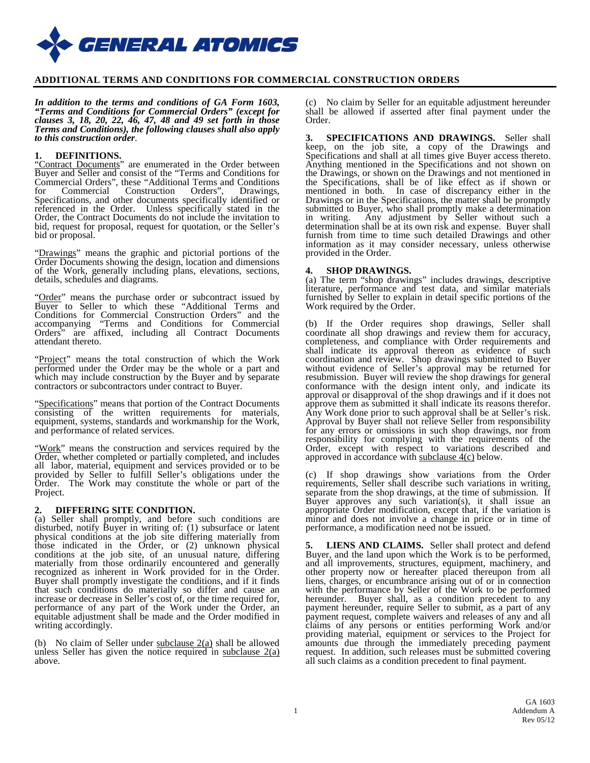

## **ADDITIONAL TERMS AND CONDITIONS FOR COMMERCIAL CONSTRUCTION ORDERS**

*In addition to the terms and conditions of GA Form 1603, "Terms and Conditions for Commercial Orders" (except for clauses 3, 18, 20, 22, 46, 47, 48 and 49 set forth in those Terms and Conditions), the following clauses shall also apply to this construction order*.

#### **1. DEFINITIONS.**

"Contract Documents" are enumerated in the Order between Buyer and Seller and consist of the "Terms and Conditions for Commercial Orders", these "Additional Terms and Conditions for Commercial Construction Orders", Drawings, Specifications, and other documents specifically identified or referenced in the Order. Unless specifically stated in the Order, the Contract Documents do not include the invitation to bid, request for proposal, request for quotation, or the Seller's bid or proposal.

"Drawings" means the graphic and pictorial portions of the Order Documents showing the design, location and dimensions of the Work, generally including plans, elevations, sections, details, schedules and diagrams.

"Order" means the purchase order or subcontract issued by Buyer to Seller to which these "Additional Terms and Conditions for Commercial Construction Orders" and the accompanying "Terms and Conditions for Commercial Orders" are affixed, including all Contract Documents attendant thereto.

"Project" means the total construction of which the Work performed under the Order may be the whole or a part and which may include construction by the Buyer and by separate contractors or subcontractors under contract to Buyer.

"Specifications" means that portion of the Contract Documents consisting of the written requirements for materials, equipment, systems, standards and workmanship for the Work, and performance of related services.

"Work" means the construction and services required by the Order, whether completed or partially completed, and includes all labor, material, equipment and services provided or to be provided by Seller to fulfill Seller's obligations under the Order. The Work may constitute the whole or part of the Project.

**2. DIFFERING SITE CONDITION.** (a) Seller shall promptly, and before such conditions are disturbed, notify Buyer in writing of: (1) subsurface or latent physical conditions at the job site differing materially from those indicated in the Order, or (2) unknown physical conditions at the job site, of an unusual nature, differing materially from those ordinarily encountered and generally recognized as inherent in Work provided for in the Order. Buyer shall promptly investigate the conditions, and if it finds that such conditions do materially so differ and cause an increase or decrease in Seller's cost of, or the time required for, performance of any part of the Work under the Order, an equitable adjustment shall be made and the Order modified in writing accordingly.

(b) No claim of Seller under subclause 2(a) shall be allowed unless Seller has given the notice required in subclause  $2(a)$ above.

(c) No claim by Seller for an equitable adjustment hereunder shall be allowed if asserted after final payment under the Order.

**3. SPECIFICATIONS AND DRAWINGS.** Seller shall keep, on the job site, a copy of the Drawings and Specifications and shall at all times give Buyer access thereto. Anything mentioned in the Specifications and not shown on the Drawings, or shown on the Drawings and not mentioned in the Specifications, shall be of like effect as if shown or mentioned in both. In case of discrepancy either in the Drawings or in the Specifications, the matter shall be promptly submitted to Buyer, who shall promptly make a determination in writing. Any adjustment by Seller without such a determination shall be at its own risk and expense. Buyer shall furnish from time to time such detailed Drawings and other information as it may consider necessary, unless otherwise provided in the Order.

### **4. SHOP DRAWINGS.**

(a) The term "shop drawings" includes drawings, descriptive literature, performance and test data, and similar materials furnished by Seller to explain in detail specific portions of the Work required by the Order.

(b) If the Order requires shop drawings, Seller shall coordinate all shop drawings and review them for accuracy, completeness, and compliance with Order requirements and shall indicate its approval thereon as evidence of such coordination and review. Shop drawings submitted to Buyer without evidence of Seller's approval may be returned for resubmission. Buyer will review the shop drawings for general conformance with the design intent only, and indicate its approval or disapproval of the shop drawings and if it does not Any Work done prior to such approval shall be at Seller's risk. Approval by Buyer shall not relieve Seller from responsibility for any errors or omissions in such shop drawings, nor from responsibility for complying with the requirements of the Order, except with respect to variations described and approved in accordance with subclause 4(c) below.

(c) If shop drawings show variations from the Order requirements, Seller shall describe such variations in writing, separate from the shop drawings, at the time of submission. If Buyer approves any such variation(s), it shall issue an appropriate Order modification, except that, if the variation is minor and does not involve a change in price or in time of performance, a modification need not be issued.

**5. LIENS AND CLAIMS.** Seller shall protect and defend Buyer, and the land upon which the Work is to be performed, and all improvements, structures, equipment, machinery, and other property now or hereafter placed thereupon from all liens, charges, or encumbrance arising out of or in connection with the performance by Seller of the Work to be performed hereunder. Buyer shall, as a condition precedent to any payment hereunder, require Seller to submit, as a part of any payment request, complete waivers and releases of any and all claims of any persons or entities performing Work and/or providing material, equipment or services to the Project for amounts due through the immediately preceding payment request. In addition, such releases must be submitted covering all such claims as a condition precedent to final payment.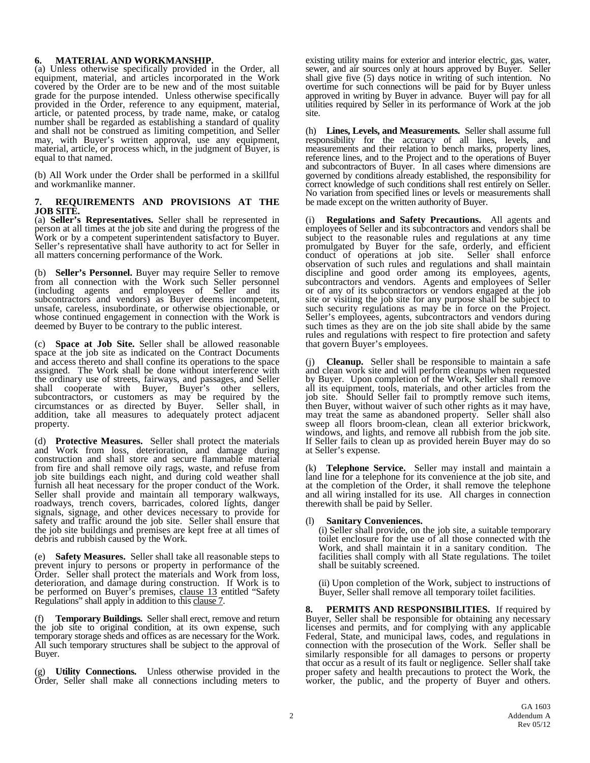### **6. MATERIAL AND WORKMANSHIP.**

(a) Unless otherwise specifically provided in the Order, all equipment, material, and articles incorporated in the Work covered by the Order are to be new and of the most suitable grade for the purpose intended. Unless otherwise specifically provided in the Order, reference to any equipment, material, article, or patented process, by trade name, make, or catalog number shall be regarded as establishing a standard of quality and shall not be construed as limiting competition, and Seller may, with Buyer's written approval, use any equipment, material, article, or process which, in the judgment of Buyer, is equal to that named.

(b) All Work under the Order shall be performed in a skillful and workmanlike manner.

### **7. REQUIREMENTS AND PROVISIONS AT THE JOB SITE.**

(a) **Seller's Representatives.** Seller shall be represented in person at all times at the job site and during the progress of the Work or by a competent superintendent satisfactory to Buyer. Seller's representative shall have authority to act for Seller in all matters concerning performance of the Work.

(b) **Seller's Personnel.** Buyer may require Seller to remove from all connection with the Work such Seller personnel (including agents and employees of Seller and its subcontractors and vendors) as Buyer deems incompetent, unsafe, careless, insubordinate, or otherwise objectionable, or whose continued engagement in connection with the Work is deemed by Buyer to be contrary to the public interest.

(c) **Space at Job Site.** Seller shall be allowed reasonable space at the job site as indicated on the Contract Documents and access thereto and shall confine its operations to the space assigned. The Work shall be done without interference with the ordinary use of streets, fairways, and passages, and Seller shall cooperate with Buyer, Buyer's other sellers, subcontractors, or customers as may be required by the circumstances or as directed by Buyer. Seller shall, in addition, take all measures to adequately protect adjacent property.

(d) **Protective Measures.** Seller shall protect the materials and Work from loss, deterioration, and damage during construction and shall store and secure flammable material from fire and shall remove oily rags, waste, and refuse from job site buildings each night, and during cold weather shall furnish all heat necessary for the proper conduct of the Work. Seller shall provide and maintain all temporary walkways, roadways, trench covers, barricades, colored lights, danger signals, signage, and other devices necessary to provide for safety and traffic around the job site. Seller shall ensure that the job site buildings and premises are kept free at all times of debris and rubbish caused by the Work.

(e) **Safety Measures.** Seller shall take all reasonable steps to prevent injury to persons or property in performance of the Order. Seller shall protect the materials and Work from loss, deterioration, and damage during construction. If Work is to be performed on Buyer<sup>7</sup>s premises, clause 13 entitled "Safety Regulations" shall apply in addition to this clause 7.

(f) **Temporary Buildings.** Seller shall erect, remove and return the job site to original condition, at its own expense, such temporary storage sheds and offices as are necessary for the Work. All such temporary structures shall be subject to the approval of Buyer.

(g) **Utility Connections.** Unless otherwise provided in the Order, Seller shall make all connections including meters to existing utility mains for exterior and interior electric, gas, water, sewer, and air sources only at hours approved by Buyer. Seller shall give five (5) days notice in writing of such intention. No overtime for such connections will be paid for by Buyer unless approved in writing by Buyer in advance. Buyer will pay for all utilities required by Seller in its performance of Work at the job site.

(h) **Lines, Levels, and Measurements.** Seller shall assume full responsibility for the accuracy of all lines, levels, and measurements and their relation to bench marks, property lines, reference lines, and to the Project and to the operations of Buyer and subcontractors of Buyer. In all cases where dimensions are governed by conditions already established, the responsibility for correct knowledge of such conditions shall rest entirely on Seller. No variation from specified lines or levels or measurements shall be made except on the written authority of Buyer.

(i) **Regulations and Safety Precautions.** All agents and employees of Seller and its subcontractors and vendors shall be subject to the reasonable rules and regulations at any time promulgated by Buyer for the safe, orderly, and efficient conduct of operations at job site. Seller shall enforce observation of such rules and regulations and shall maintain discipline and good order among its employees, agents, subcontractors and vendors. Agents and employees of Seller or of any of its subcontractors or vendors engaged at the job site or visiting the job site for any purpose shall be subject to such security regulations as may be in force on the Project. Seller's employees, agents, subcontractors and vendors during such times as they are on the job site shall abide by the same rules and regulations with respect to fire protection and safety that govern Buyer's employees.

**Cleanup.** Seller shall be responsible to maintain a safe and clean work site and will perform cleanups when requested by Buyer. Upon completion of the Work, Seller shall remove all its equipment, tools, materials, and other articles from the job site. Should Seller fail to promptly remove such items, then Buyer, without waiver of such other rights as it may have, may treat the same as abandoned property. Seller shall also sweep all floors broom-clean, clean all exterior brickwork, windows, and lights, and remove all rubbish from the job site. If Seller fails to clean up as provided herein Buyer may do so at Seller's expense.

Telephone Service. Seller may install and maintain a land line for a telephone for its convenience at the job site, and at the completion of the Order, it shall remove the telephone and all wiring installed for its use. All charges in connection therewith shall be paid by Seller.

### (l) **Sanitary Conveniences.**

(i) Seller shall provide, on the job site, a suitable temporary toilet enclosure for the use of all those connected with the Work, and shall maintain it in a sanitary condition. The facilities shall comply with all State regulations. The toilet shall be suitably screened.

(ii) Upon completion of the Work, subject to instructions of Buyer, Seller shall remove all temporary toilet facilities.

**8. PERMITS AND RESPONSIBILITIES.** If required by Buyer, Seller shall be responsible for obtaining any necessary licenses and permits, and for complying with any applicable Federal, State, and municipal laws, codes, and regulations in connection with the prosecution of the Work. Seller shall be similarly responsible for all damages to persons or property that occur as a result of its fault or negligence. Seller shall take proper safety and health precautions to protect the Work, the worker, the public, and the property of Buyer and others.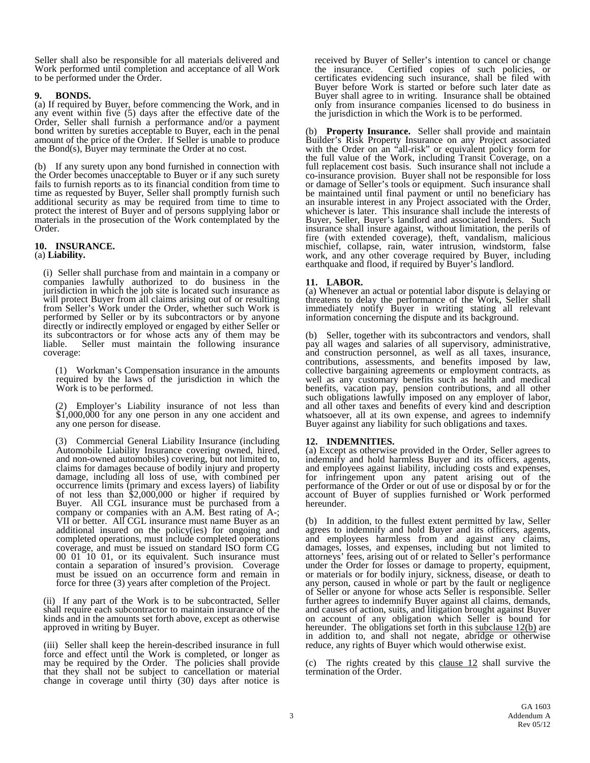Seller shall also be responsible for all materials delivered and Work performed until completion and acceptance of all Work to be performed under the Order.

**9. BONDS.** (a) If required by Buyer, before commencing the Work, and in any event within five (5) days after the effective date of the Order, Seller shall furnish a performance and/or a payment bond written by sureties acceptable to Buyer, each in the penal amount of the price of the Order. If Seller is unable to produce the Bond(s), Buyer may terminate the Order at no cost.

(b) If any surety upon any bond furnished in connection with the Order becomes unacceptable to Buyer or if any such surety fails to furnish reports as to its financial condition from time to time as requested by Buyer, Seller shall promptly furnish such additional security as may be required from time to time to protect the interest of Buyer and of persons supplying labor or materials in the prosecution of the Work contemplated by the Order.

#### **10. INSURANCE.** (a) **Liability.**

(i) Seller shall purchase from and maintain in a company or companies lawfully authorized to do business in the jurisdiction in which the job site is located such insurance as will protect Buyer from all claims arising out of or resulting from Seller's Work under the Order, whether such Work is performed by Seller or by its subcontractors or by anyone directly or indirectly employed or engaged by either Seller or its subcontractors or for whose acts any of them may be liable. Seller must maintain the following insurance coverage:

(1) Workman's Compensation insurance in the amounts required by the laws of the jurisdiction in which the Work is to be performed.

(2) Employer's Liability insurance of not less than \$1,000,000 for any one person in any one accident and any one person for disease.

(3) Commercial General Liability Insurance (including Automobile Liability Insurance covering owned, hired, and non-owned automobiles) covering, but not limited to, claims for damages because of bodily injury and property damage, including all loss of use, with combined per occurrence limits (primary and excess layers) of liability of not less than \$2,000,000 or higher if required by Buyer. All CGL insurance must be purchased from a company or companies with an A.M. Best rating of A-; VII or better. All CGL insurance must name Buyer as an additional insured on the policy(ies) for ongoing and completed operations, must include completed operations coverage, and must be issued on standard ISO form CG 00 01 10 01, or its equivalent. Such insurance must contain a separation of insured's provision. Coverage must be issued on an occurrence form and remain in force for three (3) years after completion of the Project.

(ii) If any part of the Work is to be subcontracted, Seller shall require each subcontractor to maintain insurance of the kinds and in the amounts set forth above, except as otherwise approved in writing by Buyer.

(iii) Seller shall keep the herein-described insurance in full force and effect until the Work is completed, or longer as may be required by the Order. The policies shall provide that they shall not be subject to cancellation or material change in coverage until thirty (30) days after notice is received by Buyer of Seller's intention to cancel or change the insurance. Certified copies of such policies, or certificates evidencing such insurance, shall be filed with Buyer before Work is started or before such later date as Buyer shall agree to in writing. Insurance shall be obtained only from insurance companies licensed to do business in the jurisdiction in which the Work is to be performed.

**Property Insurance.** Seller shall provide and maintain Builder's Risk Property Insurance on any Project associated with the Order on an "all-risk" or equivalent policy form for the full value of the Work, including Transit Coverage, on a full replacement cost basis. Such insurance shall not include a co-insurance provision. Buyer shall not be responsible for loss or damage of Seller's tools or equipment. Such insurance shall be maintained until final payment or until no beneficiary has an insurable interest in any Project associated with the Order, whichever is later. This insurance shall include the interests of Buyer, Seller, Buyer's landlord and associated lenders. Such insurance shall insure against, without limitation, the perils of fire (with extended coverage), theft, vandalism, malicious mischief, collapse, rain, water intrusion, windstorm, false work, and any other coverage required by Buyer, including earthquake and flood, if required by Buyer's landlord.

**11. LABOR.** (a) Whenever an actual or potential labor dispute is delaying or threatens to delay the performance of the Work, Seller shall immediately notify Buyer in writing stating all relevant information concerning the dispute and its background.

Seller, together with its subcontractors and vendors, shall pay all wages and salaries of all supervisory, administrative, and construction personnel, as well as all taxes, insurance, contributions, assessments, and benefits imposed by law, collective bargaining agreements or employment contracts, as well as any customary benefits such as health and medical benefits, vacation pay, pension contributions, and all other such obligations lawfully imposed on any employer of labor, and all other taxes and benefits of every kind and description whatsoever, all at its own expense, and agrees to indemnify Buyer against any liability for such obligations and taxes.

**12. INDEMNITIES.** (a) Except as otherwise provided in the Order, Seller agrees to indemnify and hold harmless Buyer and its officers, agents, and employees against liability, including costs and expenses, for infringement upon any patent arising out of the performance of the Order or out of use or disposal by or for the account of Buyer of supplies furnished or Work performed hereunder.

(b) In addition, to the fullest extent permitted by law, Seller agrees to indemnify and hold Buyer and its officers, agents, and employees harmless from and against any claims, damages, losses, and expenses, including but not limited to attorneys' fees, arising out of or related to Seller's performance under the Order for losses or damage to property, equipment, or materials or for bodily injury, sickness, disease, or death to any person, caused in whole or part by the fault or negligence of Seller or anyone for whose acts Seller is responsible. Seller further agrees to indemnify Buyer against all claims, demands, and causes of action, suits, and litigation brought against Buyer on account of any obligation which Seller is bound for hereunder. The obligations set forth in this subclause  $12(b)$  are in addition to, and shall not negate, abridge or otherwise reduce, any rights of Buyer which would otherwise exist.

(c) The rights created by this clause 12 shall survive the termination of the Order.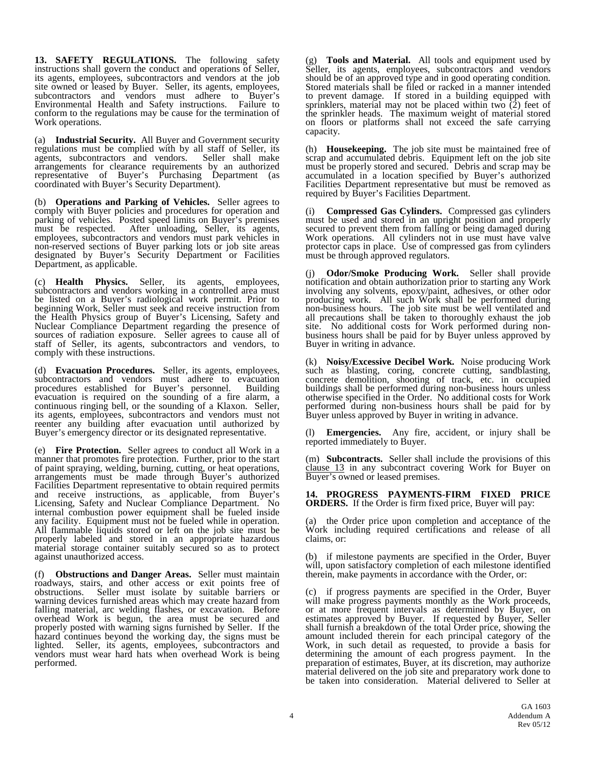**13. SAFETY REGULATIONS.** The following safety instructions shall govern the conduct and operations of Seller, its agents, employees, subcontractors and vendors at the job site owned or leased by Buyer. Seller, its agents, employees, subcontractors and vendors must adhere to Buyer's Environmental Health and Safety instructions. Failure to conform to the regulations may be cause for the termination of Work operations.

(a) **Industrial Security.** All Buyer and Government security regulations must be complied with by all staff of Seller, its agents, subcontractors and vendors. Seller shall make agents, subcontractors and vendors. arrangements for clearance requirements by an authorized representative of Buyer's Purchasing Department (as coordinated with Buyer's Security Department).

(b) **Operations and Parking of Vehicles.** Seller agrees to comply with Buyer policies and procedures for operation and parking of vehicles. Posted speed limits on Buyer's premises must be respected. After unloading, Seller, its agents, employees, subcontractors and vendors must park vehicles in non-reserved sections of Buyer parking lots or job site areas designated by Buyer's Security Department or Facilities Department, as applicable.

(c) **Health Physics.** Seller, its agents, employees, subcontractors and vendors working in a controlled area must be listed on a Buyer's radiological work permit. Prior to beginning Work, Seller must seek and receive instruction from the Health Physics group of Buyer's Licensing, Safety and Nuclear Compliance Department regarding the presence of sources of radiation exposure. Seller agrees to cause all of staff of Seller, its agents, subcontractors and vendors, to comply with these instructions.

(d) **Evacuation Procedures.** Seller, its agents, employees, subcontractors and vendors must adhere to evacuation procedures established for Buver's personnel. Building procedures established for Buyer's personnel. evacuation is required on the sounding of a fire alarm, a continuous ringing bell, or the sounding of a Klaxon. Seller, its agents, employees, subcontractors and vendors must not reenter any building after evacuation until authorized by Buyer's emergency director or its designated representative.

(e) **Fire Protection.** Seller agrees to conduct all Work in a manner that promotes fire protection. Further, prior to the start of paint spraying, welding, burning, cutting, or heat operations, arrangements must be made through Buyer's authorized Facilities Department representative to obtain required permits and receive instructions, as applicable, from Buyer's Licensing, Safety and Nuclear Compliance Department. No internal combustion power equipment shall be fueled inside any facility. Equipment must not be fueled while in operation. All flammable liquids stored or left on the job site must be properly labeled and stored in an appropriate hazardous material storage container suitably secured so as to protect against unauthorized access.

(f) **Obstructions and Danger Areas.** Seller must maintain roadways, stairs, and other access or exit points free of obstructions. Seller must isolate by suitable barriers or warning devices furnished areas which may create hazard from falling material, arc welding flashes, or excavation. Before overhead Work is begun, the area must be secured and properly posted with warning signs furnished by Seller. If the hazard continues beyond the working day, the signs must be lighted. Seller, its agents, employees, subcontractors and Seller, its agents, employees, subcontractors and vendors must wear hard hats when overhead Work is being performed.

(g) **Tools and Material.** All tools and equipment used by Seller, its agents, employees, subcontractors and vendors should be of an approved type and in good operating condition. Stored materials shall be filed or racked in a manner intended to prevent damage. If stored in a building equipped with sprinklers, material may not be placed within two  $(2)$  feet of the sprinkler heads. The maximum weight of material stored on floors or platforms shall not exceed the safe carrying capacity.

(h) **Housekeeping.** The job site must be maintained free of scrap and accumulated debris. Equipment left on the job site must be properly stored and secured. Debris and scrap may be accumulated in a location specified by Buyer's authorized Facilities Department representative but must be removed as required by Buyer's Facilities Department.

(i) **Compressed Gas Cylinders.** Compressed gas cylinders must be used and stored in an upright position and properly secured to prevent them from falling or being damaged during Work operations. All cylinders not in use must have valve protector caps in place. Use of compressed gas from cylinders must be through approved regulators.

(j) **Odor/Smoke Producing Work.** Seller shall provide notification and obtain authorization prior to starting any Work involving any solvents, epoxy/paint, adhesives, or other odor producing work. All such Work shall be performed during non-business hours. The job site must be well ventilated and all precautions shall be taken to thoroughly exhaust the job site. No additional costs for Work performed during non- business hours shall be paid for by Buyer unless approved by Buyer in writing in advance.

(k) **Noisy/Excessive Decibel Work.** Noise producing Work such as blasting, coring, concrete cutting, sandblasting, concrete demolition, shooting of track, etc. in occupied buildings shall be performed during non-business hours unless otherwise specified in the Order. No additional costs for Work performed during non-business hours shall be paid for by Buyer unless approved by Buyer in writing in advance.

(l) **Emergencies.** Any fire, accident, or injury shall be reported immediately to Buyer.

(m) **Subcontracts.** Seller shall include the provisions of this clause 13 in any subcontract covering Work for Buyer on Buyer's owned or leased premises.

**14. PROGRESS PAYMENTS-FIRM FIXED PRICE ORDERS.** If the Order is firm fixed price, Buyer will pay:

(a) the Order price upon completion and acceptance of the Work including required certifications and release of all claims, or:

(b) if milestone payments are specified in the Order, Buyer will, upon satisfactory completion of each milestone identified therein, make payments in accordance with the Order, or:

(c) if progress payments are specified in the Order, Buyer will make progress payments monthly as the Work proceeds, or at more frequent intervals as determined by Buyer, on estimates approved by Buyer. If requested by Buyer, Seller shall furnish a breakdown of the total Order price, showing the amount included therein for each principal category of the Work, in such detail as requested, to provide a basis for determining the amount of each progress payment. In the preparation of estimates, Buyer, at its discretion, may authorize material delivered on the job site and preparatory work done to be taken into consideration. Material delivered to Seller at